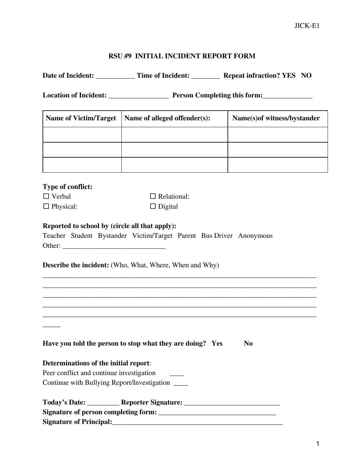## **RSU #9 INITIAL INCIDENT REPORT FORM**

|                                                  | Date of Incident: ______________ Time of Incident: ___________ Repeat infraction? YES NO                                              |                              |
|--------------------------------------------------|---------------------------------------------------------------------------------------------------------------------------------------|------------------------------|
|                                                  |                                                                                                                                       |                              |
| <b>Name of Victim/Target</b>                     | Name of alleged offender(s):                                                                                                          | Name(s) of witness/bystander |
|                                                  |                                                                                                                                       |                              |
|                                                  |                                                                                                                                       |                              |
|                                                  |                                                                                                                                       |                              |
|                                                  |                                                                                                                                       |                              |
| Type of conflict:                                |                                                                                                                                       |                              |
| $\Box$ Verbal                                    | $\Box$ Relational:                                                                                                                    |                              |
| $\Box$ Physical:                                 | $\Box$ Digital                                                                                                                        |                              |
|                                                  | Teacher Student Bystander Victim/Target Parent Bus Driver Anonymous<br><b>Describe the incident:</b> (Who, What, Where, When and Why) |                              |
|                                                  | Have you told the person to stop what they are doing? Yes                                                                             | N <sub>0</sub>               |
|                                                  |                                                                                                                                       |                              |
| Determinations of the initial report:            |                                                                                                                                       |                              |
| Peer conflict and continue investigation         |                                                                                                                                       |                              |
| Continue with Bullying Report/Investigation ____ |                                                                                                                                       |                              |
|                                                  | Today's Date: ____________ Reporter Signature: _________________________________                                                      |                              |
|                                                  |                                                                                                                                       |                              |
|                                                  |                                                                                                                                       |                              |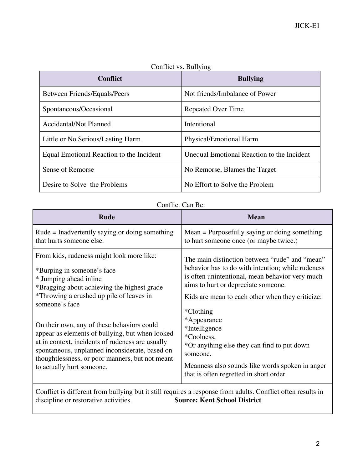| <b>Conflict</b>                          | <b>Bullying</b>                            |
|------------------------------------------|--------------------------------------------|
| <b>Between Friends/Equals/Peers</b>      | Not friends/Imbalance of Power             |
| Spontaneous/Occasional                   | <b>Repeated Over Time</b>                  |
| <b>Accidental/Not Planned</b>            | Intentional                                |
| Little or No Serious/Lasting Harm        | Physical/Emotional Harm                    |
| Equal Emotional Reaction to the Incident | Unequal Emotional Reaction to the Incident |
| Sense of Remorse                         | No Remorse, Blames the Target              |
| Desire to Solve the Problems             | No Effort to Solve the Problem             |

## Conflict vs. Bullying

## Conflict Can Be:

| Rude                                                                                                                                                                                                                                                                                                                                                                                                                                                                                                  | <b>Mean</b>                                                                                                                                                                                                                                                                                                                                                                                                                                                            |
|-------------------------------------------------------------------------------------------------------------------------------------------------------------------------------------------------------------------------------------------------------------------------------------------------------------------------------------------------------------------------------------------------------------------------------------------------------------------------------------------------------|------------------------------------------------------------------------------------------------------------------------------------------------------------------------------------------------------------------------------------------------------------------------------------------------------------------------------------------------------------------------------------------------------------------------------------------------------------------------|
| Rude = Inadvertently saying or doing something<br>that hurts someone else.                                                                                                                                                                                                                                                                                                                                                                                                                            | $Mean = Purposedully saying or doing something$<br>to hurt someone once (or maybe twice.)                                                                                                                                                                                                                                                                                                                                                                              |
| From kids, rudeness might look more like:<br>*Burping in someone's face<br>* Jumping ahead inline<br>*Bragging about achieving the highest grade<br>*Throwing a crushed up pile of leaves in<br>someone's face<br>On their own, any of these behaviors could<br>appear as elements of bullying, but when looked<br>at in context, incidents of rudeness are usually<br>spontaneous, unplanned inconsiderate, based on<br>thoughtlessness, or poor manners, but not meant<br>to actually hurt someone. | The main distinction between "rude" and "mean"<br>behavior has to do with intention; while rudeness<br>is often unintentional, mean behavior very much<br>aims to hurt or depreciate someone.<br>Kids are mean to each other when they criticize:<br>*Clothing*<br>*Appearance<br>*Intelligence<br>*Coolness,<br>*Or anything else they can find to put down<br>someone.<br>Meanness also sounds like words spoken in anger<br>that is often regretted in short order. |

Conflict is different from bullying but it still requires a response from adults. Conflict often results in discipline or restorative activities.<br>Source: Kent School District discipline or restorative activities.